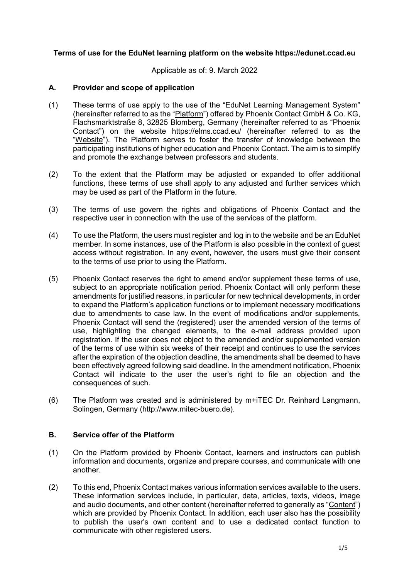## **Terms of use for the EduNet learning platform on the website https://edunet.ccad.eu**

Applicable as of: 9. March 2022

### **A. Provider and scope of application**

- (1) These terms of use apply to the use of the "EduNet Learning Management System" (hereinafter referred to as the "Platform") offered by Phoenix Contact GmbH & Co. KG, Flachsmarktstraße 8, 32825 Blomberg, Germany (hereinafter referred to as "Phoenix Contact") on the website https://elms.ccad.eu/ (hereinafter referred to as the "Website"). The Platform serves to foster the transfer of knowledge between the participating institutions of higher education and Phoenix Contact. The aim is to simplify and promote the exchange between professors and students.
- (2) To the extent that the Platform may be adjusted or expanded to offer additional functions, these terms of use shall apply to any adjusted and further services which may be used as part of the Platform in the future.
- (3) The terms of use govern the rights and obligations of Phoenix Contact and the respective user in connection with the use of the services of the platform.
- (4) To use the Platform, the users must register and log in to the website and be an EduNet member. In some instances, use of the Platform is also possible in the context of guest access without registration. In any event, however, the users must give their consent to the terms of use prior to using the Platform.
- (5) Phoenix Contact reserves the right to amend and/or supplement these terms of use, subject to an appropriate notification period. Phoenix Contact will only perform these amendments for justified reasons, in particular for new technical developments, in order to expand the Platform's application functions or to implement necessary modifications due to amendments to case law. In the event of modifications and/or supplements, Phoenix Contact will send the (registered) user the amended version of the terms of use, highlighting the changed elements, to the e-mail address provided upon registration. If the user does not object to the amended and/or supplemented version of the terms of use within six weeks of their receipt and continues to use the services after the expiration of the objection deadline, the amendments shall be deemed to have been effectively agreed following said deadline. In the amendment notification, Phoenix Contact will indicate to the user the user's right to file an objection and the consequences of such.
- $(6)$  The Platform was created and is administered by  $m+iTEC$  Dr. Reinhard Langmann, Solingen, Germany (http://www.mitec-buero.de).

#### **B. Service offer of the Platform**

- (1) On the Platform provided by Phoenix Contact, learners and instructors can publish information and documents, organize and prepare courses, and communicate with one another.
- (2) To this end, Phoenix Contact makes various information services available to the users. These information services include, in particular, data, articles, texts, videos, image and audio documents, and other content (hereinafter referred to generally as "Content") which are provided by Phoenix Contact. In addition, each user also has the possibility to publish the user's own content and to use a dedicated contact function to communicate with other registered users.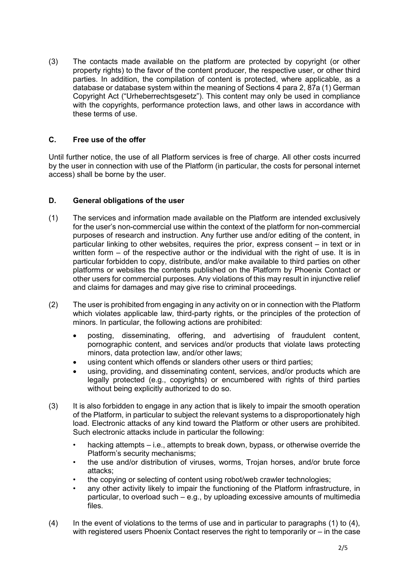(3) The contacts made available on the platform are protected by copyright (or other property rights) to the favor of the content producer, the respective user, or other third parties. In addition, the compilation of content is protected, where applicable, as a database or database system within the meaning of Sections 4 para 2, 87a (1) German Copyright Act ("Urheberrechtsgesetz"). This content may only be used in compliance with the copyrights, performance protection laws, and other laws in accordance with these terms of use.

# **C. Free use of the offer**

Until further notice, the use of all Platform services is free of charge. All other costs incurred by the user in connection with use of the Platform (in particular, the costs for personal internet access) shall be borne by the user.

# **D. General obligations of the user**

- (1) The services and information made available on the Platform are intended exclusively for the user's non-commercial use within the context of the platform for non-commercial purposes of research and instruction. Any further use and/or editing of the content, in particular linking to other websites, requires the prior, express consent – in text or in written form – of the respective author or the individual with the right of use. It is in particular forbidden to copy, distribute, and/or make available to third parties on other platforms or websites the contents published on the Platform by Phoenix Contact or other users for commercial purposes. Any violations of this may result in injunctive relief and claims for damages and may give rise to criminal proceedings.
- (2) The user is prohibited from engaging in any activity on or in connection with the Platform which violates applicable law, third-party rights, or the principles of the protection of minors. In particular, the following actions are prohibited:
	- posting, disseminating, offering, and advertising of fraudulent content, pornographic content, and services and/or products that violate laws protecting minors, data protection law, and/or other laws;
	- using content which offends or slanders other users or third parties;
	- using, providing, and disseminating content, services, and/or products which are legally protected (e.g., copyrights) or encumbered with rights of third parties without being explicitly authorized to do so.
- (3) It is also forbidden to engage in any action that is likely to impair the smooth operation of the Platform, in particular to subject the relevant systems to a disproportionately high load. Electronic attacks of any kind toward the Platform or other users are prohibited. Such electronic attacks include in particular the following:
	- hacking attempts i.e., attempts to break down, bypass, or otherwise override the Platform's security mechanisms;
	- the use and/or distribution of viruses, worms, Trojan horses, and/or brute force attacks;
	- the copying or selecting of content using robot/web crawler technologies;
	- any other activity likely to impair the functioning of the Platform infrastructure, in particular, to overload such – e.g., by uploading excessive amounts of multimedia files.
- $(4)$  In the event of violations to the terms of use and in particular to paragraphs  $(1)$  to  $(4)$ , with registered users Phoenix Contact reserves the right to temporarily or – in the case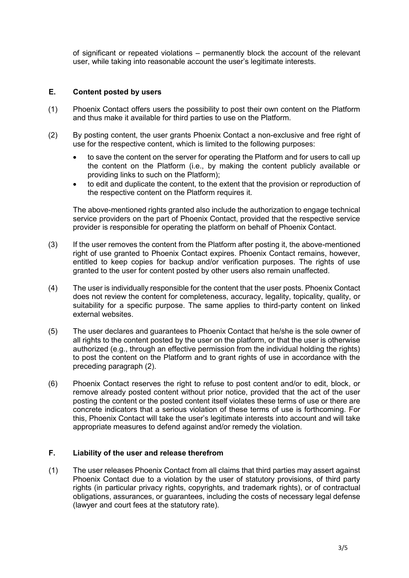of significant or repeated violations – permanently block the account of the relevant user, while taking into reasonable account the user's legitimate interests.

#### **E. Content posted by users**

- (1) Phoenix Contact offers users the possibility to post their own content on the Platform and thus make it available for third parties to use on the Platform.
- (2) By posting content, the user grants Phoenix Contact a non-exclusive and free right of use for the respective content, which is limited to the following purposes:
	- to save the content on the server for operating the Platform and for users to call up the content on the Platform (i.e., by making the content publicly available or providing links to such on the Platform);
	- to edit and duplicate the content, to the extent that the provision or reproduction of the respective content on the Platform requires it.

The above-mentioned rights granted also include the authorization to engage technical service providers on the part of Phoenix Contact, provided that the respective service provider is responsible for operating the platform on behalf of Phoenix Contact.

- (3) If the user removes the content from the Platform after posting it, the above-mentioned right of use granted to Phoenix Contact expires. Phoenix Contact remains, however, entitled to keep copies for backup and/or verification purposes. The rights of use granted to the user for content posted by other users also remain unaffected.
- (4) The user is individually responsible for the content that the user posts. Phoenix Contact does not review the content for completeness, accuracy, legality, topicality, quality, or suitability for a specific purpose. The same applies to third-party content on linked external websites.
- (5) The user declares and guarantees to Phoenix Contact that he/she is the sole owner of all rights to the content posted by the user on the platform, or that the user is otherwise authorized (e.g., through an effective permission from the individual holding the rights) to post the content on the Platform and to grant rights of use in accordance with the preceding paragraph (2).
- (6) Phoenix Contact reserves the right to refuse to post content and/or to edit, block, or remove already posted content without prior notice, provided that the act of the user posting the content or the posted content itself violates these terms of use or there are concrete indicators that a serious violation of these terms of use is forthcoming. For this, Phoenix Contact will take the user's legitimate interests into account and will take appropriate measures to defend against and/or remedy the violation.

#### **F. Liability of the user and release therefrom**

(1) The user releases Phoenix Contact from all claims that third parties may assert against Phoenix Contact due to a violation by the user of statutory provisions, of third party rights (in particular privacy rights, copyrights, and trademark rights), or of contractual obligations, assurances, or guarantees, including the costs of necessary legal defense (lawyer and court fees at the statutory rate).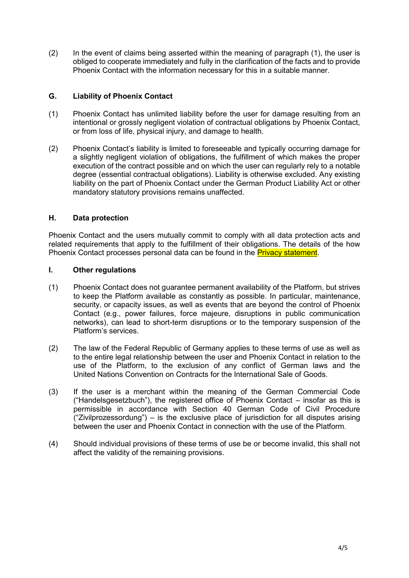(2) In the event of claims being asserted within the meaning of paragraph (1), the user is obliged to cooperate immediately and fully in the clarification of the facts and to provide Phoenix Contact with the information necessary for this in a suitable manner.

## **G. Liability of Phoenix Contact**

- (1) Phoenix Contact has unlimited liability before the user for damage resulting from an intentional or grossly negligent violation of contractual obligations by Phoenix Contact, or from loss of life, physical injury, and damage to health.
- (2) Phoenix Contact's liability is limited to foreseeable and typically occurring damage for a slightly negligent violation of obligations, the fulfillment of which makes the proper execution of the contract possible and on which the user can regularly rely to a notable degree (essential contractual obligations). Liability is otherwise excluded. Any existing liability on the part of Phoenix Contact under the German Product Liability Act or other mandatory statutory provisions remains unaffected.

## **H. Data protection**

Phoenix Contact and the users mutually commit to comply with all data protection acts and related requirements that apply to the fulfillment of their obligations. The details of the how Phoenix Contact processes personal data can be found in the **Privacy statement**.

#### **I. Other regulations**

- (1) Phoenix Contact does not guarantee permanent availability of the Platform, but strives to keep the Platform available as constantly as possible. In particular, maintenance, security, or capacity issues, as well as events that are beyond the control of Phoenix Contact (e.g., power failures, force majeure, disruptions in public communication networks), can lead to short-term disruptions or to the temporary suspension of the Platform's services.
- (2) The law of the Federal Republic of Germany applies to these terms of use as well as to the entire legal relationship between the user and Phoenix Contact in relation to the use of the Platform, to the exclusion of any conflict of German laws and the United Nations Convention on Contracts for the International Sale of Goods.
- (3) If the user is a merchant within the meaning of the German Commercial Code ("Handelsgesetzbuch"), the registered office of Phoenix Contact – insofar as this is permissible in accordance with Section 40 German Code of Civil Procedure ("Zivilprozessordung") – is the exclusive place of jurisdiction for all disputes arising between the user and Phoenix Contact in connection with the use of the Platform.
- (4) Should individual provisions of these terms of use be or become invalid, this shall not affect the validity of the remaining provisions.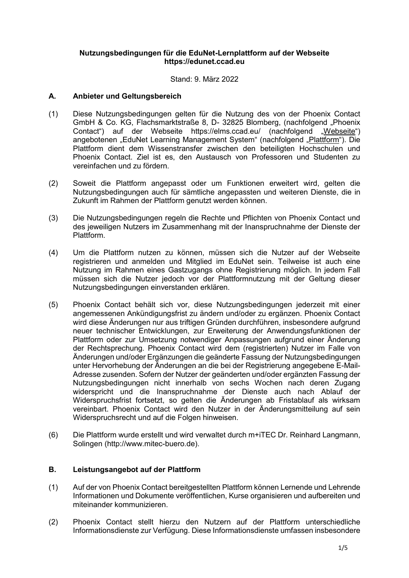#### **Nutzungsbedingungen für die EduNet-Lernplattform auf der Webseite https://edunet.ccad.eu**

Stand: 9. März 2022

#### **A. Anbieter und Geltungsbereich**

- (1) Diese Nutzungsbedingungen gelten für die Nutzung des von der Phoenix Contact GmbH & Co. KG, Flachsmarktstraße 8, D- 32825 Blomberg, (nachfolgend "Phoenix Contact") auf der Webseite https://elms.ccad.eu/ (nachfolgend "Webseite") angebotenen "EduNet Learning Management System" (nachfolgend "Plattform"). Die Plattform dient dem Wissenstransfer zwischen den beteiligten Hochschulen und Phoenix Contact. Ziel ist es, den Austausch von Professoren und Studenten zu vereinfachen und zu fördern.
- (2) Soweit die Plattform angepasst oder um Funktionen erweitert wird, gelten die Nutzungsbedingungen auch für sämtliche angepassten und weiteren Dienste, die in Zukunft im Rahmen der Plattform genutzt werden können.
- (3) Die Nutzungsbedingungen regeln die Rechte und Pflichten von Phoenix Contact und des jeweiligen Nutzers im Zusammenhang mit der Inanspruchnahme der Dienste der Plattform.
- (4) Um die Plattform nutzen zu können, müssen sich die Nutzer auf der Webseite registrieren und anmelden und Mitglied im EduNet sein. Teilweise ist auch eine Nutzung im Rahmen eines Gastzugangs ohne Registrierung möglich. In jedem Fall müssen sich die Nutzer jedoch vor der Plattformnutzung mit der Geltung dieser Nutzungsbedingungen einverstanden erklären.
- (5) Phoenix Contact behält sich vor, diese Nutzungsbedingungen jederzeit mit einer angemessenen Ankündigungsfrist zu ändern und/oder zu ergänzen. Phoenix Contact wird diese Änderungen nur aus triftigen Gründen durchführen, insbesondere aufgrund neuer technischer Entwicklungen, zur Erweiterung der Anwendungsfunktionen der Plattform oder zur Umsetzung notwendiger Anpassungen aufgrund einer Änderung der Rechtsprechung. Phoenix Contact wird dem (registrierten) Nutzer im Falle von Änderungen und/oder Ergänzungen die geänderte Fassung der Nutzungsbedingungen unter Hervorhebung der Änderungen an die bei der Registrierung angegebene E-Mail-Adresse zusenden. Sofern der Nutzer der geänderten und/oder ergänzten Fassung der Nutzungsbedingungen nicht innerhalb von sechs Wochen nach deren Zugang widerspricht und die Inanspruchnahme der Dienste auch nach Ablauf der Widerspruchsfrist fortsetzt, so gelten die Änderungen ab Fristablauf als wirksam vereinbart. Phoenix Contact wird den Nutzer in der Änderungsmitteilung auf sein Widerspruchsrecht und auf die Folgen hinweisen.
- (6) Die Plattform wurde erstellt und wird verwaltet durch m+iTEC Dr. Reinhard Langmann, Solingen (http://www.mitec-buero.de).

# **B. Leistungsangebot auf der Plattform**

- (1) Auf der von Phoenix Contact bereitgestellten Plattform können Lernende und Lehrende Informationen und Dokumente veröffentlichen, Kurse organisieren und aufbereiten und miteinander kommunizieren.
- (2) Phoenix Contact stellt hierzu den Nutzern auf der Plattform unterschiedliche Informationsdienste zur Verfügung. Diese Informationsdienste umfassen insbesondere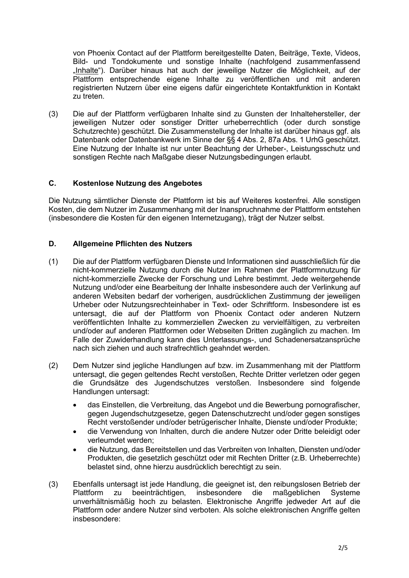von Phoenix Contact auf der Plattform bereitgestellte Daten, Beiträge, Texte, Videos, Bild- und Tondokumente und sonstige Inhalte (nachfolgend zusammenfassend "Inhalte"). Darüber hinaus hat auch der jeweilige Nutzer die Möglichkeit, auf der Plattform entsprechende eigene Inhalte zu veröffentlichen und mit anderen registrierten Nutzern über eine eigens dafür eingerichtete Kontaktfunktion in Kontakt zu treten.

(3) Die auf der Plattform verfügbaren Inhalte sind zu Gunsten der Inhaltehersteller, der jeweiligen Nutzer oder sonstiger Dritter urheberrechtlich (oder durch sonstige Schutzrechte) geschützt. Die Zusammenstellung der Inhalte ist darüber hinaus ggf. als Datenbank oder Datenbankwerk im Sinne der §§ 4 Abs. 2, 87a Abs. 1 UrhG geschützt. Eine Nutzung der Inhalte ist nur unter Beachtung der Urheber-, Leistungsschutz und sonstigen Rechte nach Maßgabe dieser Nutzungsbedingungen erlaubt.

## **C. Kostenlose Nutzung des Angebotes**

Die Nutzung sämtlicher Dienste der Plattform ist bis auf Weiteres kostenfrei. Alle sonstigen Kosten, die dem Nutzer im Zusammenhang mit der Inanspruchnahme der Plattform entstehen (insbesondere die Kosten für den eigenen Internetzugang), trägt der Nutzer selbst.

## **D. Allgemeine Pflichten des Nutzers**

- (1) Die auf der Plattform verfügbaren Dienste und Informationen sind ausschließlich für die nicht-kommerzielle Nutzung durch die Nutzer im Rahmen der Plattformnutzung für nicht-kommerzielle Zwecke der Forschung und Lehre bestimmt. Jede weitergehende Nutzung und/oder eine Bearbeitung der Inhalte insbesondere auch der Verlinkung auf anderen Websiten bedarf der vorherigen, ausdrücklichen Zustimmung der jeweiligen Urheber oder Nutzungsrechteinhaber in Text- oder Schriftform. Insbesondere ist es untersagt, die auf der Plattform von Phoenix Contact oder anderen Nutzern veröffentlichten Inhalte zu kommerziellen Zwecken zu vervielfältigen, zu verbreiten und/oder auf anderen Plattformen oder Webseiten Dritten zugänglich zu machen. Im Falle der Zuwiderhandlung kann dies Unterlassungs-, und Schadenersatzansprüche nach sich ziehen und auch strafrechtlich geahndet werden.
- (2) Dem Nutzer sind jegliche Handlungen auf bzw. im Zusammenhang mit der Plattform untersagt, die gegen geltendes Recht verstoßen, Rechte Dritter verletzen oder gegen die Grundsätze des Jugendschutzes verstoßen. Insbesondere sind folgende Handlungen untersagt:
	- das Einstellen, die Verbreitung, das Angebot und die Bewerbung pornografischer, gegen Jugendschutzgesetze, gegen Datenschutzrecht und/oder gegen sonstiges Recht verstoßender und/oder betrügerischer Inhalte, Dienste und/oder Produkte;
	- die Verwendung von Inhalten, durch die andere Nutzer oder Dritte beleidigt oder verleumdet werden;
	- die Nutzung, das Bereitstellen und das Verbreiten von Inhalten, Diensten und/oder Produkten, die gesetzlich geschützt oder mit Rechten Dritter (z.B. Urheberrechte) belastet sind, ohne hierzu ausdrücklich berechtigt zu sein.
- (3) Ebenfalls untersagt ist jede Handlung, die geeignet ist, den reibungslosen Betrieb der Plattform zu beeinträchtigen, insbesondere die maßgeblichen Systeme unverhältnismäßig hoch zu belasten. Elektronische Angriffe jedweder Art auf die Plattform oder andere Nutzer sind verboten. Als solche elektronischen Angriffe gelten insbesondere: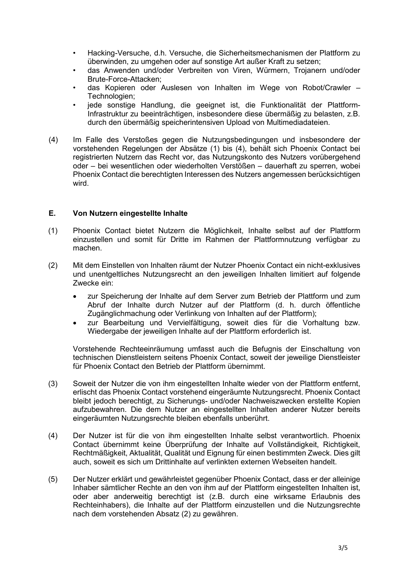- Hacking-Versuche, d.h. Versuche, die Sicherheitsmechanismen der Plattform zu überwinden, zu umgehen oder auf sonstige Art außer Kraft zu setzen;
- das Anwenden und/oder Verbreiten von Viren, Würmern, Trojanern und/oder Brute-Force-Attacken;
- das Kopieren oder Auslesen von Inhalten im Wege von Robot/Crawler Technologien;
- jede sonstige Handlung, die geeignet ist, die Funktionalität der Plattform-Infrastruktur zu beeinträchtigen, insbesondere diese übermäßig zu belasten, z.B. durch den übermäßig speicherintensiven Upload von Multimediadateien.
- (4) Im Falle des Verstoßes gegen die Nutzungsbedingungen und insbesondere der vorstehenden Regelungen der Absätze (1) bis (4), behält sich Phoenix Contact bei registrierten Nutzern das Recht vor, das Nutzungskonto des Nutzers vorübergehend oder – bei wesentlichen oder wiederholten Verstößen – dauerhaft zu sperren, wobei Phoenix Contact die berechtigten Interessen des Nutzers angemessen berücksichtigen wird.

#### **E. Von Nutzern eingestellte Inhalte**

- (1) Phoenix Contact bietet Nutzern die Möglichkeit, Inhalte selbst auf der Plattform einzustellen und somit für Dritte im Rahmen der Plattformnutzung verfügbar zu machen.
- (2) Mit dem Einstellen von Inhalten räumt der Nutzer Phoenix Contact ein nicht-exklusives und unentgeltliches Nutzungsrecht an den jeweiligen Inhalten limitiert auf folgende Zwecke ein:
	- zur Speicherung der Inhalte auf dem Server zum Betrieb der Plattform und zum Abruf der Inhalte durch Nutzer auf der Plattform (d. h. durch öffentliche Zugänglichmachung oder Verlinkung von Inhalten auf der Plattform);
	- zur Bearbeitung und Vervielfältigung, soweit dies für die Vorhaltung bzw. Wiedergabe der jeweiligen Inhalte auf der Plattform erforderlich ist.

Vorstehende Rechteeinräumung umfasst auch die Befugnis der Einschaltung von technischen Dienstleistern seitens Phoenix Contact, soweit der jeweilige Dienstleister für Phoenix Contact den Betrieb der Plattform übernimmt.

- (3) Soweit der Nutzer die von ihm eingestellten Inhalte wieder von der Plattform entfernt, erlischt das Phoenix Contact vorstehend eingeräumte Nutzungsrecht. Phoenix Contact bleibt jedoch berechtigt, zu Sicherungs- und/oder Nachweiszwecken erstellte Kopien aufzubewahren. Die dem Nutzer an eingestellten Inhalten anderer Nutzer bereits eingeräumten Nutzungsrechte bleiben ebenfalls unberührt.
- (4) Der Nutzer ist für die von ihm eingestellten Inhalte selbst verantwortlich. Phoenix Contact übernimmt keine Überprüfung der Inhalte auf Vollständigkeit, Richtigkeit, Rechtmäßigkeit, Aktualität, Qualität und Eignung für einen bestimmten Zweck. Dies gilt auch, soweit es sich um Drittinhalte auf verlinkten externen Webseiten handelt.
- (5) Der Nutzer erklärt und gewährleistet gegenüber Phoenix Contact, dass er der alleinige Inhaber sämtlicher Rechte an den von ihm auf der Plattform eingestellten Inhalten ist, oder aber anderweitig berechtigt ist (z.B. durch eine wirksame Erlaubnis des Rechteinhabers), die Inhalte auf der Plattform einzustellen und die Nutzungsrechte nach dem vorstehenden Absatz (2) zu gewähren.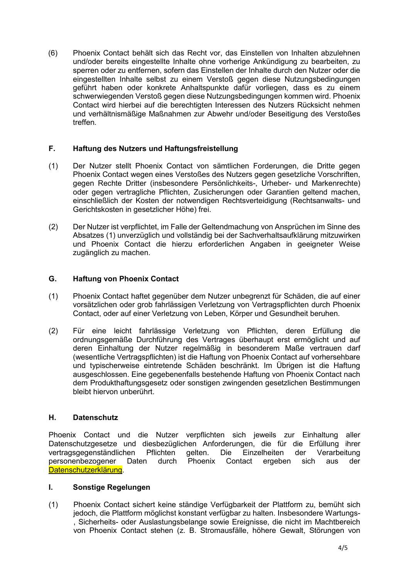(6) Phoenix Contact behält sich das Recht vor, das Einstellen von Inhalten abzulehnen und/oder bereits eingestellte Inhalte ohne vorherige Ankündigung zu bearbeiten, zu sperren oder zu entfernen, sofern das Einstellen der Inhalte durch den Nutzer oder die eingestellten Inhalte selbst zu einem Verstoß gegen diese Nutzungsbedingungen geführt haben oder konkrete Anhaltspunkte dafür vorliegen, dass es zu einem schwerwiegenden Verstoß gegen diese Nutzungsbedingungen kommen wird. Phoenix Contact wird hierbei auf die berechtigten Interessen des Nutzers Rücksicht nehmen und verhältnismäßige Maßnahmen zur Abwehr und/oder Beseitigung des Verstoßes treffen.

## **F. Haftung des Nutzers und Haftungsfreistellung**

- (1) Der Nutzer stellt Phoenix Contact von sämtlichen Forderungen, die Dritte gegen Phoenix Contact wegen eines Verstoßes des Nutzers gegen gesetzliche Vorschriften, gegen Rechte Dritter (insbesondere Persönlichkeits-, Urheber- und Markenrechte) oder gegen vertragliche Pflichten, Zusicherungen oder Garantien geltend machen, einschließlich der Kosten der notwendigen Rechtsverteidigung (Rechtsanwalts- und Gerichtskosten in gesetzlicher Höhe) frei.
- (2) Der Nutzer ist verpflichtet, im Falle der Geltendmachung von Ansprüchen im Sinne des Absatzes (1) unverzüglich und vollständig bei der Sachverhaltsaufklärung mitzuwirken und Phoenix Contact die hierzu erforderlichen Angaben in geeigneter Weise zugänglich zu machen.

## **G. Haftung von Phoenix Contact**

- (1) Phoenix Contact haftet gegenüber dem Nutzer unbegrenzt für Schäden, die auf einer vorsätzlichen oder grob fahrlässigen Verletzung von Vertragspflichten durch Phoenix Contact, oder auf einer Verletzung von Leben, Körper und Gesundheit beruhen.
- (2) Für eine leicht fahrlässige Verletzung von Pflichten, deren Erfüllung die ordnungsgemäße Durchführung des Vertrages überhaupt erst ermöglicht und auf deren Einhaltung der Nutzer regelmäßig in besonderem Maße vertrauen darf (wesentliche Vertragspflichten) ist die Haftung von Phoenix Contact auf vorhersehbare und typischerweise eintretende Schäden beschränkt. Im Übrigen ist die Haftung ausgeschlossen. Eine gegebenenfalls bestehende Haftung von Phoenix Contact nach dem Produkthaftungsgesetz oder sonstigen zwingenden gesetzlichen Bestimmungen bleibt hiervon unberührt.

#### **H. Datenschutz**

Phoenix Contact und die Nutzer verpflichten sich jeweils zur Einhaltung aller Datenschutzgesetze und diesbezüglichen Anforderungen, die für die Erfüllung ihrer<br>vertragsgegenständlichen Pflichten gelten. Die Einzelheiten der Verarbeitung vertragsgegenständlichen Pflichten gelten. Die Einzelheiten der Verarbeitung personenbezogener Daten durch Phoenix Contact ergeben sich aus der Datenschutzerklärung.

#### **I. Sonstige Regelungen**

(1) Phoenix Contact sichert keine ständige Verfügbarkeit der Plattform zu, bemüht sich jedoch, die Plattform möglichst konstant verfügbar zu halten. Insbesondere Wartungs- , Sicherheits- oder Auslastungsbelange sowie Ereignisse, die nicht im Machtbereich von Phoenix Contact stehen (z. B. Stromausfälle, höhere Gewalt, Störungen von